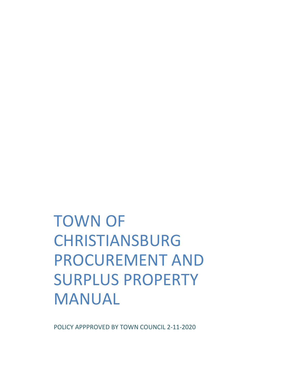# TOWN OF CHRISTIANSBURG PROCUREMENT AND SURPLUS PROPERTY MANUAL

POLICY APPPROVED BY TOWN COUNCIL 2‐11‐2020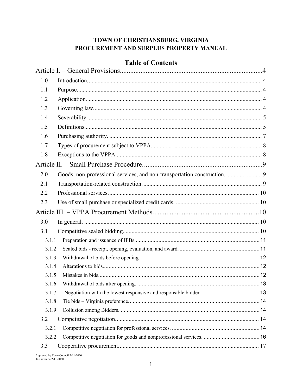## TOWN OF CHRISTIANSBURG, VIRGINIA PROCUREMENT AND SURPLUS PROPERTY MANUAL

| 3.1.1 |                                                                           |
|-------|---------------------------------------------------------------------------|
| 3.1.2 |                                                                           |
| 3.1.3 |                                                                           |
| 3.1.4 |                                                                           |
| 3.1.5 |                                                                           |
| 3.1.6 |                                                                           |
| 3.1.7 |                                                                           |
| 3.1.8 |                                                                           |
| 3.1.9 |                                                                           |
|       |                                                                           |
|       |                                                                           |
| 3.2.2 |                                                                           |
|       |                                                                           |
|       | Goods, non-professional services, and non-transportation construction.  9 |

## **Table of Contents**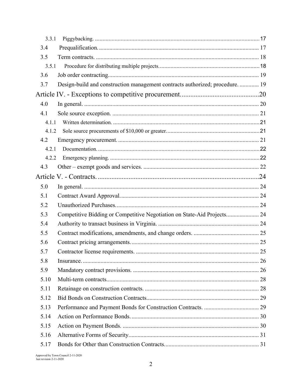| 3.3.1 |                                                                               |  |
|-------|-------------------------------------------------------------------------------|--|
| 3.4   |                                                                               |  |
| 3.5   |                                                                               |  |
| 3.5.1 |                                                                               |  |
| 3.6   |                                                                               |  |
| 3.7   | Design-build and construction management contracts authorized; procedure.  19 |  |
|       |                                                                               |  |
| 4.0   |                                                                               |  |
| 4.1   |                                                                               |  |
| 4.1.1 |                                                                               |  |
| 4.1.2 |                                                                               |  |
| 4.2   |                                                                               |  |
| 4.2.1 |                                                                               |  |
| 4.2.2 |                                                                               |  |
| 4.3   |                                                                               |  |
|       |                                                                               |  |
| 5.0   |                                                                               |  |
| 5.1   |                                                                               |  |
| 5.2   |                                                                               |  |
| 5.3   | Competitive Bidding or Competitive Negotiation on State-Aid Projects 24       |  |
| 5.4   |                                                                               |  |
| 5.5   |                                                                               |  |
| 5.6   |                                                                               |  |
| 5.7   |                                                                               |  |
| 5.8   |                                                                               |  |
| 5.9   |                                                                               |  |
| 5.10  |                                                                               |  |
| 5.11  |                                                                               |  |
| 5.12  |                                                                               |  |
| 5.13  |                                                                               |  |
| 5.14  |                                                                               |  |
| 5.15  |                                                                               |  |
| 5.16  |                                                                               |  |
| 5.17  |                                                                               |  |
|       |                                                                               |  |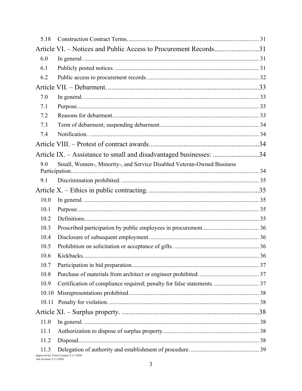| 5.18  |                                                                         |  |
|-------|-------------------------------------------------------------------------|--|
|       | Article VI. – Notices and Public Access to Procurement Records31        |  |
| 6.0   |                                                                         |  |
| 6.1   |                                                                         |  |
| 6.2   |                                                                         |  |
|       |                                                                         |  |
| 7.0   |                                                                         |  |
| 7.1   |                                                                         |  |
| 7.2   |                                                                         |  |
| 7.3   |                                                                         |  |
| 7.4   |                                                                         |  |
|       |                                                                         |  |
|       | Article IX. - Assistance to small and disadvantaged businesses: 34      |  |
| 9.0   | Small, Women-, Minority-, and Service Disabled Veteran-Owned Business   |  |
|       |                                                                         |  |
| 9.1   |                                                                         |  |
|       |                                                                         |  |
| 10.0  |                                                                         |  |
| 10.1  |                                                                         |  |
| 10.2  |                                                                         |  |
| 10.3  |                                                                         |  |
| 10.4  |                                                                         |  |
| 10.5  |                                                                         |  |
| 10.6  |                                                                         |  |
| 10.7  |                                                                         |  |
| 10.8  |                                                                         |  |
| 10.9  | Certification of compliance required; penalty for false statements.  37 |  |
| 10.10 |                                                                         |  |
| 10.11 |                                                                         |  |
|       |                                                                         |  |
| 11.0  |                                                                         |  |
| 11.1  |                                                                         |  |
| 11.2  |                                                                         |  |
| 11.3  | Approved by Town Council 2-11-2020                                      |  |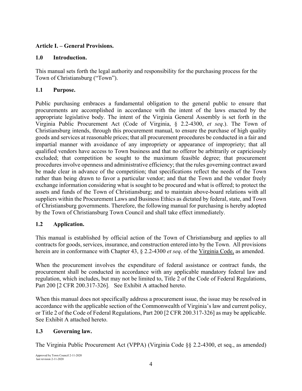## **Article I. – General Provisions.**

#### **1.0 Introduction.**

This manual sets forth the legal authority and responsibility for the purchasing process for the Town of Christiansburg ("Town").

## **1.1 Purpose.**

Public purchasing embraces a fundamental obligation to the general public to ensure that procurements are accomplished in accordance with the intent of the laws enacted by the appropriate legislative body. The intent of the Virginia General Assembly is set forth in the Virginia Public Procurement Act (Code of Virginia, § 2.2-4300, *et seq*.). The Town of Christiansburg intends, through this procurement manual, to ensure the purchase of high quality goods and services at reasonable prices; that all procurement procedures be conducted in a fair and impartial manner with avoidance of any impropriety or appearance of impropriety; that all qualified vendors have access to Town business and that no offeror be arbitrarily or capriciously excluded; that competition be sought to the maximum feasible degree; that procurement procedures involve openness and administrative efficiency; that the rules governing contract award be made clear in advance of the competition; that specifications reflect the needs of the Town rather than being drawn to favor a particular vendor; and that the Town and the vendor freely exchange information considering what is sought to be procured and what is offered; to protect the assets and funds of the Town of Christiansburg; and to maintain above-board relations with all suppliers within the Procurement Laws and Business Ethics as dictated by federal, state, and Town of Christiansburg governments. Therefore, the following manual for purchasing is hereby adopted by the Town of Christiansburg Town Council and shall take effect immediately.

#### **1.2 Application.**

This manual is established by official action of the Town of Christiansburg and applies to all contracts for goods, services, insurance, and construction entered into by the Town. All provisions herein are in conformance with Chapter 43, § 2.2-4300 *et seq*. of the Virginia Code, as amended.

When the procurement involves the expenditure of federal assistance or contract funds, the procurement shall be conducted in accordance with any applicable mandatory federal law and regulation, which includes, but may not be limited to, Title 2 of the Code of Federal Regulations, Part 200 [2 CFR 200.317-326]. See Exhibit A attached hereto.

When this manual does not specifically address a procurement issue, the issue may be resolved in accordance with the applicable section of the Commonwealth of Virginia's law and current policy, or Title 2 of the Code of Federal Regulations, Part 200 [2 CFR 200.317-326] as may be applicable. See Exhibit A attached hereto.

## **1.3 Governing law.**

The Virginia Public Procurement Act (VPPA) (Virginia Code §§ 2.2-4300, et seq., as amended)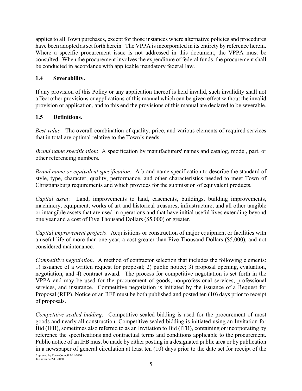applies to all Town purchases, except for those instances where alternative policies and procedures have been adopted as set forth herein. The VPPA is incorporated in its entirety by reference herein. Where a specific procurement issue is not addressed in this document, the VPPA must be consulted. When the procurement involves the expenditure of federal funds, the procurement shall be conducted in accordance with applicable mandatory federal law.

#### **1.4 Severability.**

If any provision of this Policy or any application thereof is held invalid, such invalidity shall not affect other provisions or applications of this manual which can be given effect without the invalid provision or application, and to this end the provisions of this manual are declared to be severable.

#### **1.5 Definitions.**

*Best value*: The overall combination of quality, price, and various elements of required services that in total are optimal relative to the Town's needs.

*Brand name specification*: A specification by manufacturers' names and catalog, model, part, or other referencing numbers.

*Brand name or equivalent specification:* A brand name specification to describe the standard of style, type, character, quality, performance, and other characteristics needed to meet Town of Christiansburg requirements and which provides for the submission of equivalent products.

*Capital asset*: Land, improvements to land, easements, buildings, building improvements, machinery, equipment, works of art and historical treasures, infrastructure, and all other tangible or intangible assets that are used in operations and that have initial useful lives extending beyond one year and a cost of Five Thousand Dollars (\$5,000) or greater.

*Capital improvement projects*: Acquisitions or construction of major equipment or facilities with a useful life of more than one year, a cost greater than Five Thousand Dollars (\$5,000), and not considered maintenance.

*Competitive negotiation:* A method of contractor selection that includes the following elements: 1) issuance of a written request for proposal; 2) public notice; 3) proposal opening, evaluation, negotiation, and 4) contract award. The process for competitive negotiation is set forth in the VPPA and may be used for the procurement of goods, nonprofessional services, professional services, and insurance. Competitive negotiation is initiated by the issuance of a Request for Proposal (RFP). Notice of an RFP must be both published and posted ten (10) days prior to receipt of proposals.

*Competitive sealed bidding:* Competitive sealed bidding is used for the procurement of most goods and nearly all construction. Competitive sealed bidding is initiated using an Invitation for Bid (IFB), sometimes also referred to as an Invitation to Bid (ITB), containing or incorporating by reference the specifications and contractual terms and conditions applicable to the procurement. Public notice of an IFB must be made by either posting in a designated public area or by publication in a newspaper of general circulation at least ten (10) days prior to the date set for receipt of the

Approved by Town Council 2-11-2020 last revision 2-11-2020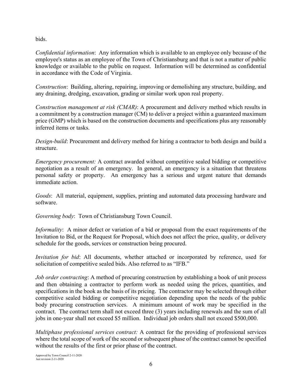bids.

*Confidential information*: Any information which is available to an employee only because of the employee's status as an employee of the Town of Christiansburg and that is not a matter of public knowledge or available to the public on request. Information will be determined as confidential in accordance with the Code of Virginia.

*Construction*: Building, altering, repairing, improving or demolishing any structure, building, and any draining, dredging, excavation, grading or similar work upon real property.

*Construction management at risk (CMAR)*: A procurement and delivery method which results in a commitment by a construction manager (CM) to deliver a project within a guaranteed maximum price (GMP) which is based on the construction documents and specifications plus any reasonably inferred items or tasks.

*Design-build*: Procurement and delivery method for hiring a contractor to both design and build a structure.

*Emergency procurement:* A contract awarded without competitive sealed bidding or competitive negotiation as a result of an emergency. In general, an emergency is a situation that threatens personal safety or property. An emergency has a serious and urgent nature that demands immediate action.

*Goods*: All material, equipment, supplies, printing and automated data processing hardware and software.

*Governing body*: Town of Christiansburg Town Council.

*Informality*: A minor defect or variation of a bid or proposal from the exact requirements of the Invitation to Bid, or the Request for Proposal, which does not affect the price, quality, or delivery schedule for the goods, services or construction being procured.

*Invitation for bid*: All documents, whether attached or incorporated by reference, used for solicitation of competitive sealed bids. Also referred to as "IFB."

*Job order contracting*: A method of procuring construction by establishing a book of unit process and then obtaining a contractor to perform work as needed using the prices, quantities, and specifications in the book as the basis of its pricing. The contractor may be selected through either competitive sealed bidding or competitive negotiation depending upon the needs of the public body procuring construction services. A minimum amount of work may be specified in the contract. The contract term shall not exceed three (3) years including renewals and the sum of all jobs in one-year shall not exceed \$5 million. Individual job orders shall not exceed \$500,000.

*Multiphase professional services contract:* A contract for the providing of professional services where the total scope of work of the second or subsequent phase of the contract cannot be specified without the results of the first or prior phase of the contract.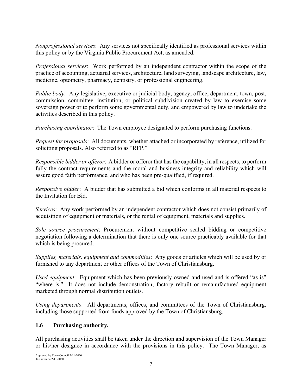*Nonprofessional services*: Any services not specifically identified as professional services within this policy or by the Virginia Public Procurement Act, as amended.

*Professional services*: Work performed by an independent contractor within the scope of the practice of accounting, actuarial services, architecture, land surveying, landscape architecture, law, medicine, optometry, pharmacy, dentistry, or professional engineering.

*Public body*: Any legislative, executive or judicial body, agency, office, department, town, post, commission, committee, institution, or political subdivision created by law to exercise some sovereign power or to perform some governmental duty, and empowered by law to undertake the activities described in this policy.

*Purchasing coordinator*: The Town employee designated to perform purchasing functions.

*Request for proposals*: All documents, whether attached or incorporated by reference, utilized for soliciting proposals. Also referred to as "RFP."

*Responsible bidder or offeror*: A bidder or offeror that has the capability, in all respects, to perform fully the contract requirements and the moral and business integrity and reliability which will assure good faith performance, and who has been pre-qualified, if required.

*Responsive bidder*: A bidder that has submitted a bid which conforms in all material respects to the Invitation for Bid.

*Services*: Any work performed by an independent contractor which does not consist primarily of acquisition of equipment or materials, or the rental of equipment, materials and supplies.

*Sole source procurement*: Procurement without competitive sealed bidding or competitive negotiation following a determination that there is only one source practicably available for that which is being procured.

*Supplies, materials, equipment and commodities*: Any goods or articles which will be used by or furnished to any department or other offices of the Town of Christiansburg.

*Used equipment*: Equipment which has been previously owned and used and is offered "as is" "where is." It does not include demonstration; factory rebuilt or remanufactured equipment marketed through normal distribution outlets.

*Using departments*: All departments, offices, and committees of the Town of Christiansburg, including those supported from funds approved by the Town of Christiansburg.

#### **1.6 Purchasing authority.**

All purchasing activities shall be taken under the direction and supervision of the Town Manager or his/her designee in accordance with the provisions in this policy. The Town Manager, as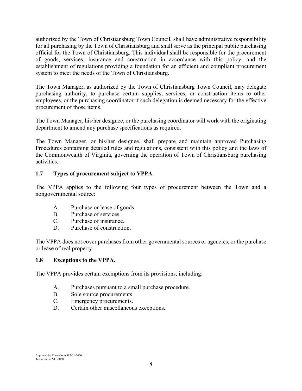authorized by the Town of Christiansburg Town Council, shall have administrative responsibility for all purchasing by the Town of Christiansburg and shall serve as the principal public purchasing official for the Town of Christiansburg. This individual shall be responsible for the procurement of goods, services, insurance and construction in accordance with this policy, and the establishment of regulations providing a foundation for an efficient and compliant procurement system to meet the needs of the Town of Christiansburg.

The Town Manager, as authorized by the Town of Christiansburg Town Council, may delegate purchasing authority, to purchase certain supplies, services, or construction items to other employees, or the purchasing coordinator if such delegation is deemed necessary for the effective procurement of those items.

The Town Manager, his/her designee, or the purchasing coordinator will work with the originating department to amend any purchase specifications as required.

The Town Manager, or his/her designee, shall prepare and maintain approved Purchasing Procedures containing detailed rules and regulations, consistent with this policy and the laws of the Commonwealth of Virginia, governing the operation of Town of Christiansburg purchasing activities.

## **1.7 Types of procurement subject to VPPA.**

The VPPA applies to the following four types of procurement between the Town and a nongovernmental source:

- A. Purchase or lease of goods.
- B. Purchase of services.
- C. Purchase of insurance.
- D. Purchase of construction.

The VPPA does not cover purchases from other governmental sources or agencies, or the purchase or lease of real property.

#### **1.8 Exceptions to the VPPA.**

The VPPA provides certain exemptions from its provisions, including:

- A. Purchases pursuant to a small purchase procedure.
- B. Sole source procurements.
- C. Emergency procurements.
- D. Certain other miscellaneous exceptions.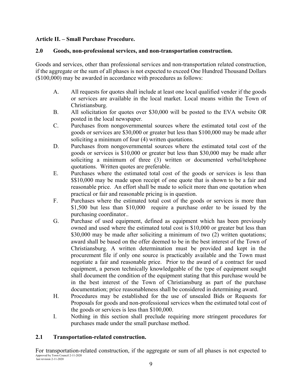#### **Article II. – Small Purchase Procedure.**

#### **2.0 Goods, non-professional services, and non-transportation construction.**

Goods and services, other than professional services and non-transportation related construction, if the aggregate or the sum of all phases is not expected to exceed One Hundred Thousand Dollars (\$100,000) may be awarded in accordance with procedures as follows:

- A. All requests for quotes shall include at least one local qualified vender if the goods or services are available in the local market. Local means within the Town of Christiansburg.
- B. All solicitation for quotes over \$30,000 will be posted to the EVA website OR posted in the local newspaper.
- C. Purchases from nongovernmental sources where the estimated total cost of the goods or services are \$30,000 or greater but less than \$100,000 may be made after soliciting a minimum of four (4) written quotations.
- D. Purchases from nongovernmental sources where the estimated total cost of the goods or services is \$10,000 or greater but less than \$30,000 may be made after soliciting a minimum of three (3) written or documented verbal/telephone quotations. Written quotes are preferable.
- E. Purchases where the estimated total cost of the goods or services is less than \$\$10,000 may be made upon receipt of one quote that is shown to be a fair and reasonable price. An effort shall be made to solicit more than one quotation when practical or fair and reasonable pricing is in question.
- F. Purchases where the estimated total cost of the goods or services is more than \$1,500 but less than \$10,000 require a purchase order to be issued by the purchasing coordinator..
- G. Purchase of used equipment, defined as equipment which has been previously owned and used where the estimated total cost is \$10,000 or greater but less than \$30,000 may be made after soliciting a minimum of two (2) written quotations; award shall be based on the offer deemed to be in the best interest of the Town of Christiansburg. A written determination must be provided and kept in the procurement file if only one source is practicably available and the Town must negotiate a fair and reasonable price. Prior to the award of a contract for used equipment, a person technically knowledgeable of the type of equipment sought shall document the condition of the equipment stating that this purchase would be in the best interest of the Town of Christiansburg as part of the purchase documentation; price reasonableness shall be considered in determining award.
- H. Procedures may be established for the use of unsealed Bids or Requests for Proposals for goods and non-professional services when the estimated total cost of the goods or services is less than \$100,000.
- I. Nothing in this section shall preclude requiring more stringent procedures for purchases made under the small purchase method.

#### **2.1 Transportation-related construction.**

Approved by Town Council 2-11-2020 last revision 2-11-2020 For transportation-related construction, if the aggregate or sum of all phases is not expected to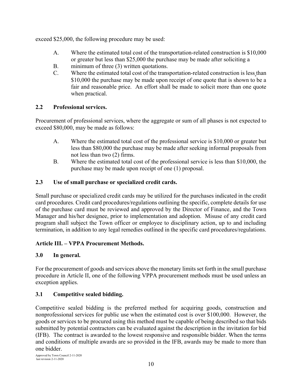exceed \$25,000, the following procedure may be used:

- A. Where the estimated total cost of the transportation-related construction is \$10,000 or greater but less than \$25,000 the purchase may be made after soliciting a
- B. minimum of three (3) written quotations.
- C. Where the estimated total cost of the transportation-related construction is less than \$10,000 the purchase may be made upon receipt of one quote that is shown to be a fair and reasonable price. An effort shall be made to solicit more than one quote when practical.

## **2.2 Professional services.**

Procurement of professional services, where the aggregate or sum of all phases is not expected to exceed \$80,000, may be made as follows:

- A. Where the estimated total cost of the professional service is \$10,000 or greater but less than \$80,000 the purchase may be made after seeking informal proposals from not less than two (2) firms.
- B. Where the estimated total cost of the professional service is less than \$10,000, the purchase may be made upon receipt of one (1) proposal.

## **2.3 Use of small purchase or specialized credit cards.**

Small purchase or specialized credit cards may be utilized for the purchases indicated in the credit card procedures. Credit card procedures/regulations outlining the specific, complete details for use of the purchase card must be reviewed and approved by the Director of Finance, and the Town Manager and his/her designee, prior to implementation and adoption. Misuse of any credit card program shall subject the Town officer or employee to disciplinary action, up to and including termination, in addition to any legal remedies outlined in the specific card procedures/regulations.

## **Article III. – VPPA Procurement Methods.**

## **3.0 In general.**

For the procurement of goods and services above the monetary limits set forth in the small purchase procedure in Article II, one of the following VPPA procurement methods must be used unless an exception applies.

## **3.1 Competitive sealed bidding.**

Competitive sealed bidding is the preferred method for acquiring goods, construction and nonprofessional services for public use when the estimated cost is over \$100,000. However, the goods or services to be procured using this method must be capable of being described so that bids submitted by potential contractors can be evaluated against the description in the invitation for bid (IFB). The contract is awarded to the lowest responsive and responsible bidder. When the terms and conditions of multiple awards are so provided in the IFB, awards may be made to more than one bidder.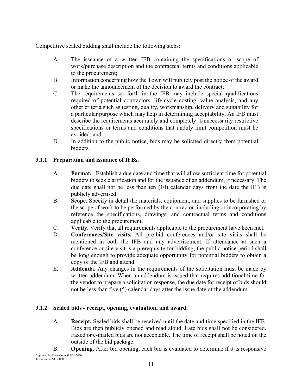Competitive sealed bidding shall include the following steps:

- A. The issuance of a written IFB containing the specifications or scope of work/purchase description and the contractual terms and conditions applicable to the procurement;
- B. Information concerning how the Town will publicly post the notice of the award or make the announcement of the decision to award the contract;
- C. The requirements set forth in the IFB may include special qualifications required of potential contractors, life-cycle costing, value analysis, and any other criteria such as testing, quality, workmanship, delivery and suitability for a particular purpose which may help in determining acceptability. An IFB must describe the requirements accurately and completely. Unnecessarily restrictive specifications or terms and conditions that unduly limit competition must be avoided; and
- D. In addition to the public notice, bids may be solicited directly from potential bidders.

## **3.1.1 Preparation and issuance of IFBs.**

- A. **Format.** Establish a due date and time that will allow sufficient time for potential bidders to seek clarification and for the issuance of an addendum, if necessary. The due date shall not be less than ten (10) calendar days from the date the IFB is publicly advertised.
- B. **Scope.** Specify in detail the materials, equipment, and supplies to be furnished or the scope of work to be performed by the contractor, including or incorporating by reference the specifications, drawings, and contractual terms and conditions applicable to the procurement.
- C. **Verify.** Verify that all requirements applicable to the procurement have been met.
- D. **Conferences/Site visits.** All pre-bid conferences and/or site visits shall be mentioned in both the IFB and any advertisement. If attendance at such a conference or site visit is a prerequisite for bidding, the public notice period shall be long enough to provide adequate opportunity for potential bidders to obtain a copy of the IFB and attend.
- E. **Addenda.** Any changes in the requirements of the solicitation must be made by written addendum. When an addendum is issued that requires additional time for the vendor to prepare a solicitation response, the due date for receipt of bids should not be less than five (5) calendar days after the issue date of the addendum.

## **3.1.2 Sealed bids - receipt, opening, evaluation, and award.**

- A. **Receipt.** Sealed bids shall be received until the date and time specified in the IFB. Bids are then publicly opened and read aloud. Late bids shall not be considered. Faxed or e-mailed bids are not acceptable. The time of receipt shall be noted on the outside of the bid package.
- Approved by Town Council 2-11-2020 last revision 2-11-2020 B. **Opening.** After bid opening, each bid is evaluated to determine if it is responsive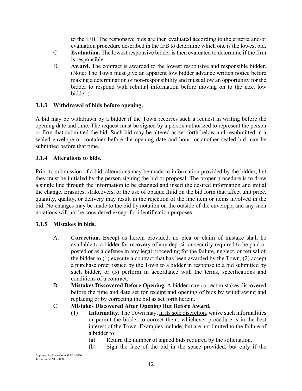to the IFB. The responsive bids are then evaluated according to the criteria and/or evaluation procedure described in the IFB to determine which one is the lowest bid.

- C. **Evaluation.** The lowest responsive bidder is then evaluated to determine if the firm is responsible.
- D. **Award.** The contract is awarded to the lowest responsive and responsible bidder. (Note: The Town must give an apparent low bidder advance written notice before making a determination of non-responsibility and must allow an opportunity for the bidder to respond with rebuttal information before moving on to the next low bidder.)

#### **3.1.3 Withdrawal of bids before opening.**

A bid may be withdrawn by a bidder if the Town receives such a request in writing before the opening date and time. The request must be signed by a person authorized to represent the person or firm that submitted the bid. Such bid may be altered as set forth below and resubmitted in a sealed envelope or container before the opening date and hour, or another sealed bid may be submitted before that time.

#### **3.1.4 Alterations to bids.**

Prior to submission of a bid, alterations may be made to information provided by the bidder, but they must be initialed by the person signing the bid or proposal. The proper procedure is to draw a single line through the information to be changed and insert the desired information and initial the change. Erasures, strikeovers, or the use of opaque fluid on the bid form that affect unit price, quantity, quality, or delivery may result in the rejection of the line item or items involved in the bid. No changes may be made to the bid by notation on the outside of the envelope, and any such notations will not be considered except for identification purposes.

#### **3.1.5 Mistakes in bids.**

- A. **Correction.** Except as herein provided, no plea or claim of mistake shall be available to a bidder for recovery of any deposit or security required to be paid or posted or as a defense in any legal proceeding for the failure, neglect, or refusal of the bidder to (1) execute a contract that has been awarded by the Town, (2) accept a purchase order issued by the Town to a bidder in response to a bid submitted by such bidder, or (3) perform in accordance with the terms, specifications and conditions of a contract.
- B. **Mistakes Discovered Before Opening.** A bidder may correct mistakes discovered before the time and date set for receipt and opening of bids by withdrawing and replacing or by correcting the bid as set forth herein.

## C. **Mistakes Discovered After Opening But Before Award.**

- (1) **Informality.** The Town may, in its sole discretion, waive such informalities or permit the bidder to correct them, whichever procedure is in the best interest of the Town. Examples include, but are not limited to the failure of a bidder to:
	- (a) Return the number of signed bids required by the solicitation.
	- (b) Sign the face of the bid in the space provided, but only if the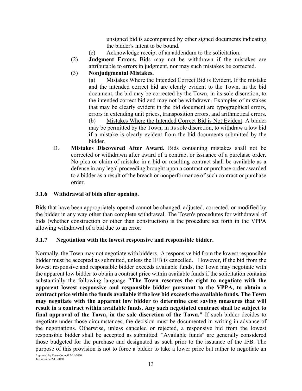unsigned bid is accompanied by other signed documents indicating the bidder's intent to be bound.

- (c) Acknowledge receipt of an addendum to the solicitation.
- (2) **Judgment Errors.** Bids may not be withdrawn if the mistakes are attributable to errors in judgment, nor may such mistakes be corrected.
- (3) **Nonjudgmental Mistakes.**

(a) Mistakes Where the Intended Correct Bid is Evident. If the mistake and the intended correct bid are clearly evident to the Town, in the bid document, the bid may be corrected by the Town, in its sole discretion, to the intended correct bid and may not be withdrawn. Examples of mistakes that may be clearly evident in the bid document are typographical errors, errors in extending unit prices, transposition errors, and arithmetical errors.

(b) Mistakes Where the Intended Correct Bid is Not Evident. A bidder may be permitted by the Town, in its sole discretion, to withdraw a low bid if a mistake is clearly evident from the bid documents submitted by the bidder.

D. **Mistakes Discovered After Award.** Bids containing mistakes shall not be corrected or withdrawn after award of a contract or issuance of a purchase order. No plea or claim of mistake in a bid or resulting contract shall be available as a defense in any legal proceeding brought upon a contract or purchase order awarded to a bidder as a result of the breach or nonperformance of such contract or purchase order.

#### **3.1.6 Withdrawal of bids after opening.**

Bids that have been appropriately opened cannot be changed, adjusted, corrected, or modified by the bidder in any way other than complete withdrawal. The Town's procedures for withdrawal of bids (whether construction or other than construction) is the procedure set forth in the VPPA allowing withdrawal of a bid due to an error.

#### **3.1.7 Negotiation with the lowest responsive and responsible bidder.**

Normally, the Town may not negotiate with bidders. A responsive bid from the lowest responsible bidder must be accepted as submitted, unless the IFB is cancelled. However, if the bid from the lowest responsive and responsible bidder exceeds available funds, the Town may negotiate with the apparent low bidder to obtain a contract price within available funds if the solicitation contains substantially the following language **"The Town reserves the right to negotiate with the apparent lowest responsive and responsible bidder pursuant to the VPPA, to obtain a contract price within the funds available if the low bid exceeds the available funds. The Town may negotiate with the apparent low bidder to determine cost saving measures that will result in a contract within available funds. Any such negotiated contract shall be subject to final approval of the Town, in the sole discretion of the Town."** If such bidder decides to negotiate under those circumstances, the decision must be documented in writing in advance of the negotiations. Otherwise, unless canceled or rejected, a responsive bid from the lowest responsible bidder shall be accepted as submitted. "Available funds" are generally considered those budgeted for the purchase and designated as such prior to the issuance of the IFB. The purpose of this provision is not to force a bidder to take a lower price but rather to negotiate an

Approved by Town Council 2-11-2020 last revision 2-11-2020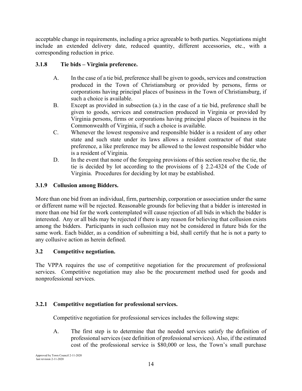acceptable change in requirements, including a price agreeable to both parties. Negotiations might include an extended delivery date, reduced quantity, different accessories, etc., with a corresponding reduction in price.

## **3.1.8 Tie bids – Virginia preference.**

- A. In the case of a tie bid, preference shall be given to goods, services and construction produced in the Town of Christiansburg or provided by persons, firms or corporations having principal places of business in the Town of Christiansburg, if such a choice is available.
- B. Except as provided in subsection (a.) in the case of a tie bid, preference shall be given to goods, services and construction produced in Virginia or provided by Virginia persons, firms or corporations having principal places of business in the Commonwealth of Virginia, if such a choice is available.
- C. Whenever the lowest responsive and responsible bidder is a resident of any other state and such state under its laws allows a resident contractor of that state preference, a like preference may be allowed to the lowest responsible bidder who is a resident of Virginia.
- D. In the event that none of the foregoing provisions of this section resolve the tie, the tie is decided by lot according to the provisions of § 2.2-4324 of the Code of Virginia. Procedures for deciding by lot may be established.

#### **3.1.9 Collusion among Bidders.**

More than one bid from an individual, firm, partnership, corporation or association under the same or different name will be rejected. Reasonable grounds for believing that a bidder is interested in more than one bid for the work contemplated will cause rejection of all bids in which the bidder is interested. Any or all bids may be rejected if there is any reason for believing that collusion exists among the bidders. Participants in such collusion may not be considered in future bids for the same work. Each bidder, as a condition of submitting a bid, shall certify that he is not a party to any collusive action as herein defined.

#### **3.2 Competitive negotiation.**

The VPPA requires the use of competitive negotiation for the procurement of professional services. Competitive negotiation may also be the procurement method used for goods and nonprofessional services.

## **3.2.1 Competitive negotiation for professional services.**

Competitive negotiation for professional services includes the following steps:

A. The first step is to determine that the needed services satisfy the definition of professional services (see definition of professional services). Also, if the estimated cost of the professional service is \$80,000 or less, the Town's small purchase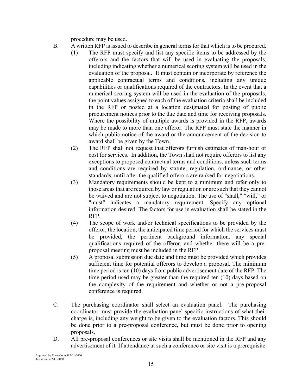procedure may be used.

- B. A written RFP is issued to describe in general terms for that which is to be procured.
	- (1) The RFP must specify and list any specific items to be addressed by the offerors and the factors that will be used in evaluating the proposals, including indicating whether a numerical scoring system will be used in the evaluation of the proposal. It must contain or incorporate by reference the applicable contractual terms and conditions, including any unique capabilities or qualifications required of the contractors. In the event that a numerical scoring system will be used in the evaluation of the proposals, the point values assigned to each of the evaluation criteria shall be included in the RFP or posted at a location designated for posting of public procurement notices prior to the due date and time for receiving proposals. Where the possibility of multiple awards is provided in the RFP, awards may be made to more than one offeror. The RFP must state the manner in which public notice of the award or the announcement of the decision to award shall be given by the Town.
	- (2) The RFP shall not request that offerors furnish estimates of man-hour or cost for services. In addition, the Town shall not require offerors to list any exceptions to proposed contractual terms and conditions, unless such terms and conditions are required by statute, regulation, ordinance, or other standards, until after the qualified offerors are ranked for negotiations.
	- (3) Mandatory requirements should be kept to a minimum and refer only to those areas that are required by law or regulation or are such that they cannot be waived and are not subject to negotiation. The use of "shall," "will," or "must" indicates a mandatory requirement. Specify any optional information desired. The factors for use in evaluation shall be stated in the RFP.
	- (4) The scope of work and/or technical specifications to be provided by the offeror, the location, the anticipated time period for which the services must be provided, the pertinent background information, any special qualifications required of the offeror, and whether there will be a preproposal meeting must be included in the RFP.
	- (5) A proposal submission due date and time must be provided which provides sufficient time for potential offerors to develop a proposal. The minimum time period is ten (10) days from public advertisement date of the RFP. The time period used may be greater than the required ten (10) days based on the complexity of the requirement and whether or not a pre-proposal conference is required.
- C. The purchasing coordinator shall select an evaluation panel. The purchasing coordinator must provide the evaluation panel specific instructions of what their charge is, including any weight to be given to the evaluation factors. This should be done prior to a pre-proposal conference, but must be done prior to opening proposals.
- D. All pre-proposal conferences or site visits shall be mentioned in the RFP and any advertisement of it. If attendance at such a conference or site visit is a prerequisite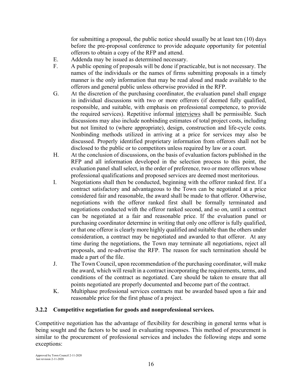for submitting a proposal, the public notice should usually be at least ten (10) days before the pre-proposal conference to provide adequate opportunity for potential offerors to obtain a copy of the RFP and attend.

- E. Addenda may be issued as determined necessary.
- F. A public opening of proposals will be done if practicable, but is not necessary. The names of the individuals or the names of firms submitting proposals in a timely manner is the only information that may be read aloud and made available to the offerors and general public unless otherwise provided in the RFP.
- G. At the discretion of the purchasing coordinator, the evaluation panel shall engage in individual discussions with two or more offerors (if deemed fully qualified, responsible, and suitable, with emphasis on professional competence, to provide the required services). Repetitive informal interviews shall be permissible. Such discussions may also include nonbinding estimates of total project costs, including but not limited to (where appropriate), design, construction and life-cycle costs. Nonbinding methods utilized in arriving at a price for services may also be discussed. Properly identified proprietary information from offerors shall not be disclosed to the public or to competitors unless required by law or a court.
- H. At the conclusion of discussions, on the basis of evaluation factors published in the RFP and all information developed in the selection process to this point, the evaluation panel shall select, in the order of preference, two or more offerors whose professional qualifications and proposed services are deemed most meritorious.
- I. Negotiations shall then be conducted, beginning with the offeror ranked first. If a contract satisfactory and advantageous to the Town can be negotiated at a price considered fair and reasonable, the award shall be made to that offeror. Otherwise, negotiations with the offeror ranked first shall be formally terminated and negotiations conducted with the offeror ranked second, and so on, until a contract can be negotiated at a fair and reasonable price. If the evaluation panel or purchasing coordinator determine in writing that only one offeror is fully qualified, or that one offeror is clearly more highly qualified and suitable than the others under consideration, a contract may be negotiated and awarded to that offeror. At any time during the negotiations, the Town may terminate all negotiations, reject all proposals, and re-advertise the RFP. The reason for such termination should be made a part of the file.
- J. The Town Council, upon recommendation of the purchasing coordinator, will make the award, which will result in a contract incorporating the requirements, terms, and conditions of the contract as negotiated. Care should be taken to ensure that all points negotiated are properly documented and become part of the contract.
- K. Multiphase professional services contracts mat be awarded based upon a fair and reasonable price for the first phase of a project.

## **3.2.2 Competitive negotiation for goods and nonprofessional services.**

Competitive negotiation has the advantage of flexibility for describing in general terms what is being sought and the factors to be used in evaluating responses. This method of procurement is similar to the procurement of professional services and includes the following steps and some exceptions: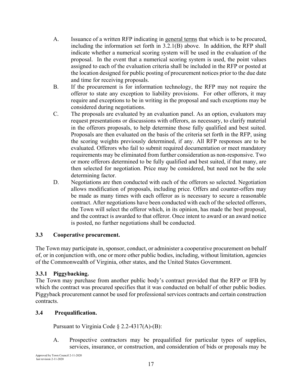- A. Issuance of a written RFP indicating in general terms that which is to be procured, including the information set forth in 3.2.1(B) above. In addition, the RFP shall indicate whether a numerical scoring system will be used in the evaluation of the proposal. In the event that a numerical scoring system is used, the point values assigned to each of the evaluation criteria shall be included in the RFP or posted at the location designed for public posting of procurement notices prior to the due date and time for receiving proposals.
- B. If the procurement is for information technology, the RFP may not require the offeror to state any exception to liability provisions. For other offerors, it may require and exceptions to be in writing in the proposal and such exceptions may be considered during negotiations.
- C. The proposals are evaluated by an evaluation panel. As an option, evaluators may request presentations or discussions with offerors, as necessary, to clarify material in the offerors proposals, to help determine those fully qualified and best suited. Proposals are then evaluated on the basis of the criteria set forth in the RFP, using the scoring weights previously determined, if any. All RFP responses are to be evaluated. Offerors who fail to submit required documentation or meet mandatory requirements may be eliminated from further consideration as non-responsive. Two or more offerors determined to be fully qualified and best suited, if that many, are then selected for negotiation. Price may be considered, but need not be the sole determining factor.
- D. Negotiations are then conducted with each of the offerors so selected. Negotiation allows modification of proposals, including price. Offers and counter-offers may be made as many times with each offeror as is necessary to secure a reasonable contract. After negotiations have been conducted with each of the selected offerors, the Town will select the offeror which, in its opinion, has made the best proposal, and the contract is awarded to that offeror. Once intent to award or an award notice is posted, no further negotiations shall be conducted.

#### **3.3 Cooperative procurement.**

The Town may participate in, sponsor, conduct, or administer a cooperative procurement on behalf of, or in conjunction with, one or more other public bodies, including, without limitation, agencies of the Commonwealth of Virginia, other states, and the United States Government.

#### **3.3.1 Piggybacking.**

The Town may purchase from another public body's contract provided that the RFP or IFB by which the contract was procured specifies that it was conducted on behalf of other public bodies. Piggyback procurement cannot be used for professional services contracts and certain construction contracts.

#### **3.4 Prequalification.**

Pursuant to Virginia Code  $\S$  2.2-4317(A)-(B):

A. Prospective contractors may be prequalified for particular types of supplies, services, insurance, or construction, and consideration of bids or proposals may be

Approved by Town Council 2-11-2020 last revision 2-11-2020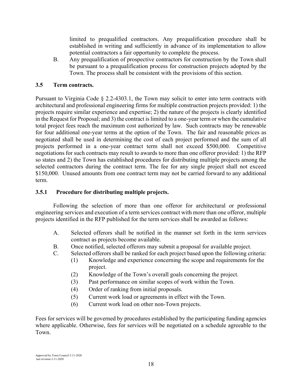limited to prequalified contractors. Any prequalification procedure shall be established in writing and sufficiently in advance of its implementation to allow potential contractors a fair opportunity to complete the process.

B. Any prequalification of prospective contractors for construction by the Town shall be pursuant to a prequalification process for construction projects adopted by the Town. The process shall be consistent with the provisions of this section.

#### **3.5 Term contracts.**

Pursuant to Virginia Code § 2.2-4303.1, the Town may solicit to enter into term contracts with architectural and professional engineering firms for multiple construction projects provided: 1) the projects require similar experience and expertise; 2) the nature of the projects is clearly identified in the Request for Proposal; and 3) the contract is limited to a one-year term or when the cumulative total project fees reach the maximum cost authorized by law. Such contracts may be renewable for four additional one-year terms at the option of the Town. The fair and reasonable prices as negotiated shall be used in determining the cost of each project performed and the sum of all projects performed in a one-year contract term shall not exceed \$500,000. Competitive negotiations for such contracts may result to awards to more than one offeror provided: 1) the RFP so states and 2) the Town has established procedures for distributing multiple projects among the selected contractors during the contract term. The fee for any single project shall not exceed \$150,000. Unused amounts from one contract term may not be carried forward to any additional term.

#### **3.5.1 Procedure for distributing multiple projects.**

Following the selection of more than one offeror for architectural or professional engineering services and execution of a term services contract with more than one offeror, multiple projects identified in the RFP published for the term services shall be awarded as follows:

- A. Selected offerors shall be notified in the manner set forth in the term services contract as projects become available.
- B. Once notified, selected offerors may submit a proposal for available project.
- C. Selected offerors shall be ranked for each project based upon the following criteria:
	- (1) Knowledge and experience concerning the scope and requirements for the project.
	- (2) Knowledge of the Town's overall goals concerning the project.
	- (3) Past performance on similar scopes of work within the Town.
	- (4) Order of ranking from initial proposals.
	- (5) Current work load or agreements in effect with the Town.
	- (6) Current work load on other non-Town projects.

Fees for services will be governed by procedures established by the participating funding agencies where applicable. Otherwise, fees for services will be negotiated on a schedule agreeable to the Town.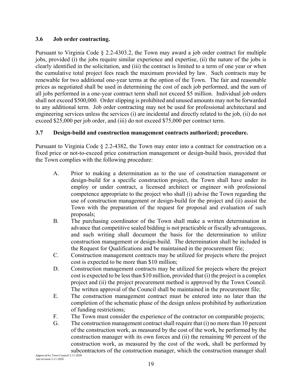#### **3.6 Job order contracting.**

Pursuant to Virginia Code § 2.2-4303.2, the Town may award a job order contract for multiple jobs, provided (i) the jobs require similar experience and expertise, (ii) the nature of the jobs is clearly identified in the solicitation, and (iii) the contract is limited to a term of one year or when the cumulative total project fees reach the maximum provided by law. Such contracts may be renewable for two additional one-year terms at the option of the Town. The fair and reasonable prices as negotiated shall be used in determining the cost of each job performed, and the sum of all jobs performed in a one-year contract term shall not exceed \$5 million. Individual job orders shall not exceed \$500,000. Order slipping is prohibited and unused amounts may not be forwarded to any additional term. Job order contracting may not be used for professional architectural and engineering services unless the services (i) are incidental and directly related to the job, (ii) do not exceed \$25,000 per job order, and (iii) do not exceed \$75,000 per contract term.

#### **3.7 Design-build and construction management contracts authorized; procedure.**

Pursuant to Virginia Code § 2.2-4382, the Town may enter into a contract for construction on a fixed price or not-to-exceed price construction management or design-build basis, provided that the Town complies with the following procedure:

- A. Prior to making a determination as to the use of construction management or design-build for a specific construction project, the Town shall have under its employ or under contract, a licensed architect or engineer with professional competence appropriate to the project who shall (i) advise the Town regarding the use of construction management or design-build for the project and (ii) assist the Town with the preparation of the request for proposal and evaluation of such proposals;
- B. The purchasing coordinator of the Town shall make a written determination in advance that competitive sealed bidding is not practicable or fiscally advantageous, and such writing shall document the basis for the determination to utilize construction management or design-build. The determination shall be included in the Request for Qualifications and be maintained in the procurement file;
- C. Construction management contracts may be utilized for projects where the project cost is expected to be more than \$10 million;
- D. Construction management contracts may be utilized for projects where the project cost is expected to be less than \$10 million, provided that (i) the project is a complex project and (ii) the project procurement method is approved by the Town Council. The written approval of the Council shall be maintained in the procurement file;
- E. The construction management contract must be entered into no later than the completion of the schematic phase of the design unless prohibited by authorization of funding restrictions;
- F. The Town must consider the experience of the contractor on comparable projects;
- G. The construction management contract shall require that (i) no more than 10 percent of the construction work, as measured by the cost of the work, be performed by the construction manager with its own forces and (ii) the remaining 90 percent of the construction work, as measured by the cost of the work, shall be performed by subcontractors of the construction manager, which the construction manager shall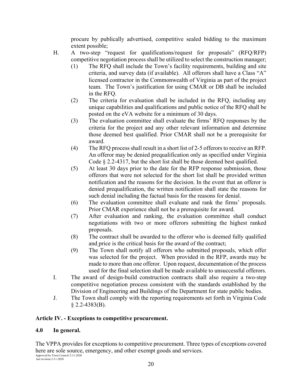procure by publically advertised, competitive sealed bidding to the maximum extent possible;

- H. A two-step "request for qualifications/request for proposals" (RFQ/RFP) competitive negotiation process shall be utilized to select the construction manager;
	- (1) The RFQ shall include the Town's facility requirements, building and site criteria, and survey data (if available). All offerors shall have a Class "A" licensed contractor in the Commonwealth of Virginia as part of the project team. The Town's justification for using CMAR or DB shall be included in the RFQ.
	- (2) The criteria for evaluation shall be included in the RFQ, including any unique capabilities and qualifications and public notice of the RFQ shall be posted on the eVA website for a minimum of 30 days.
	- (3) The evaluation committee shall evaluate the firms' RFQ responses by the criteria for the project and any other relevant information and determine those deemed best qualified. Prior CMAR shall not be a prerequisite for award.
	- (4) The RFQ process shall result in a short list of 2-5 offerors to receive an RFP. An offeror may be denied prequalification only as specified under Virginia Code § 2.2-4317, but the short list shall be those deemed best qualified.
	- (5) At least 30 days prior to the date for the RFP response submission, those offerors that were not selected for the short list shall be provided written notification and the reasons for the decision. In the event that an offeror is denied prequalification, the written notification shall state the reasons for such denial including the factual basis for the reasons for denial.
	- (6) The evaluation committee shall evaluate and rank the firms' proposals. Prior CMAR experience shall not be a prerequisite for award.
	- (7) After evaluation and ranking, the evaluation committee shall conduct negotiations with two or more offerors submitting the highest ranked proposals.
	- (8) The contract shall be awarded to the offeror who is deemed fully qualified and price is the critical basis for the award of the contract;
	- (9) The Town shall notify all offerors who submitted proposals, which offer was selected for the project. When provided in the RFP, awards may be made to more than one offeror. Upon request, documentation of the process used for the final selection shall be made available to unsuccessful offerors.
- I. The award of design-build construction contracts shall also require a two-step competitive negotiation process consistent with the standards established by the Division of Engineering and Buildings of the Department for state public bodies.
- J. The Town shall comply with the reporting requirements set forth in Virginia Code  $§$  2.2-4383(B).

## **Article IV. - Exceptions to competitive procurement.**

#### **4.0 In general.**

The VPPA provides for exceptions to competitive procurement. Three types of exceptions covered here are sole source, emergency, and other exempt goods and services.

Approved by Town Council 2-11-2020 last revision 2-11-2020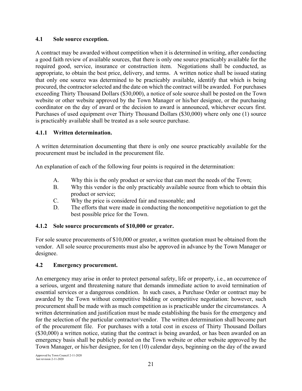#### **4.1 Sole source exception.**

A contract may be awarded without competition when it is determined in writing, after conducting a good faith review of available sources, that there is only one source practicably available for the required good, service, insurance or construction item. Negotiations shall be conducted, as appropriate, to obtain the best price, delivery, and terms. A written notice shall be issued stating that only one source was determined to be practicably available, identify that which is being procured, the contractor selected and the date on which the contract will be awarded. For purchases exceeding Thirty Thousand Dollars (\$30,000), a notice of sole source shall be posted on the Town website or other website approved by the Town Manager or his/her designee, or the purchasing coordinator on the day of award or the decision to award is announced, whichever occurs first. Purchases of used equipment over Thirty Thousand Dollars (\$30,000) where only one (1) source is practicably available shall be treated as a sole source purchase.

## **4.1.1 Written determination.**

A written determination documenting that there is only one source practicably available for the procurement must be included in the procurement file.

An explanation of each of the following four points is required in the determination:

- A. Why this is the only product or service that can meet the needs of the Town;
- B. Why this vendor is the only practicably available source from which to obtain this product or service;
- C. Why the price is considered fair and reasonable; and
- D. The efforts that were made in conducting the noncompetitive negotiation to get the best possible price for the Town.

#### **4.1.2 Sole source procurements of \$10,000 or greater.**

For sole source procurements of \$10,000 or greater, a written quotation must be obtained from the vendor. All sole source procurements must also be approved in advance by the Town Manager or designee.

#### **4.2 Emergency procurement.**

An emergency may arise in order to protect personal safety, life or property, i.e., an occurrence of a serious, urgent and threatening nature that demands immediate action to avoid termination of essential services or a dangerous condition. In such cases, a Purchase Order or contract may be awarded by the Town without competitive bidding or competitive negotiation: however, such procurement shall be made with as much competition as is practicable under the circumstances. A written determination and justification must be made establishing the basis for the emergency and for the selection of the particular contractor/vendor. The written determination shall become part of the procurement file. For purchases with a total cost in excess of Thirty Thousand Dollars (\$30,000) a written notice, stating that the contract is being awarded, or has been awarded on an emergency basis shall be publicly posted on the Town website or other website approved by the Town Manager, or his/her designee, for ten (10) calendar days, beginning on the day of the award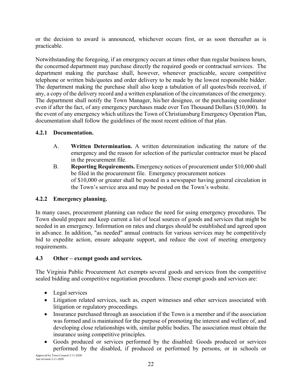or the decision to award is announced, whichever occurs first, or as soon thereafter as is practicable.

Notwithstanding the foregoing, if an emergency occurs at times other than regular business hours, the concerned department may purchase directly the required goods or contractual services. The department making the purchase shall, however, whenever practicable, secure competitive telephone or written bids/quotes and order delivery to be made by the lowest responsible bidder. The department making the purchase shall also keep a tabulation of all quotes/bids received, if any, a copy of the delivery record and a written explanation of the circumstances of the emergency. The department shall notify the Town Manager, his/her designee, or the purchasing coordinator even if after the fact, of any emergency purchases made over Ten Thousand Dollars (\$10,000). In the event of any emergency which utilizes the Town of Christiansburg Emergency Operation Plan, documentation shall follow the guidelines of the most recent edition of that plan.

#### **4.2.1 Documentation.**

- A. **Written Determination.** A written determination indicating the nature of the emergency and the reason for selection of the particular contractor must be placed in the procurement file.
- B. **Reporting Requirements.** Emergency notices of procurement under \$10,000 shall be filed in the procurement file. Emergency procurement notices of \$10,000 or greater shall be posted in a newspaper having general circulation in the Town's service area and may be posted on the Town's website.

## **4.2.2 Emergency planning.**

In many cases, procurement planning can reduce the need for using emergency procedures. The Town should prepare and keep current a list of local sources of goods and services that might be needed in an emergency. Information on rates and charges should be established and agreed upon in advance. In addition, "as needed" annual contracts for various services may be competitively bid to expedite action, ensure adequate support, and reduce the cost of meeting emergency requirements.

## **4.3 Other – exempt goods and services.**

The Virginia Public Procurement Act exempts several goods and services from the competitive sealed bidding and competitive negotiation procedures. These exempt goods and services are:

- Legal services
- Litigation related services, such as, expert witnesses and other services associated with litigation or regulatory proceedings.
- Insurance purchased through an association if the Town is a member and if the association was formed and is maintained for the purpose of promoting the interest and welfare of, and developing close relationships with, similar public bodies. The association must obtain the insurance using competitive principles.
- Goods produced or services performed by the disabled: Goods produced or services performed by the disabled, if produced or performed by persons, or in schools or

Approved by Town Council 2-11-2020 last revision 2-11-2020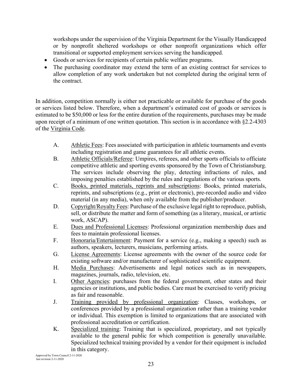workshops under the supervision of the Virginia Department for the Visually Handicapped or by nonprofit sheltered workshops or other nonprofit organizations which offer transitional or supported employment services serving the handicapped.

- Goods or services for recipients of certain public welfare programs.
- The purchasing coordinator may extend the term of an existing contract for services to allow completion of any work undertaken but not completed during the original term of the contract.

In addition, competition normally is either not practicable or available for purchase of the goods or services listed below. Therefore, when a department's estimated cost of goods or services is estimated to be \$50,000 or less for the entire duration of the requirements, purchases may be made upon receipt of a minimum of one written quotation. This section is in accordance with §2.2-4303 of the Virginia Code.

- A. Athletic Fees: Fees associated with participation in athletic tournaments and events including registration and game guarantees for all athletic events.
- B. Athletic Officials/Referee: Umpires, referees, and other sports officials to officiate competitive athletic and sporting events sponsored by the Town of Christiansburg. The services include observing the play, detecting infractions of rules, and imposing penalties established by the rules and regulations of the various sports.
- C. Books, printed materials, reprints and subscriptions: Books, printed materials, reprints, and subscriptions (e.g., print or electronic), pre-recorded audio and video material (in any media), when only available from the publisher/producer.
- D. Copyright/Royalty Fees: Purchase of the exclusive legal right to reproduce, publish, sell, or distribute the matter and form of something (as a literary, musical, or artistic work, ASCAP).
- E. Dues and Professional Licenses: Professional organization membership dues and fees to maintain professional licenses.
- F. Honoraria/Entertainment: Payment for a service (e.g., making a speech) such as authors, speakers, lecturers, musicians, performing artists.
- G. License Agreements: License agreements with the owner of the source code for existing software and/or manufacturer of sophisticated scientific equipment.
- H. Media Purchases: Advertisements and legal notices such as in newspapers, magazines, journals, radio, television, etc.
- I. Other Agencies: purchases from the federal government, other states and their agencies or institutions, and public bodies. Care must be exercised to verify pricing as fair and reasonable.
- J. Training provided by professional organization: Classes, workshops, or conferences provided by a professional organization rather than a training vendor or individual. This exemption is limited to organizations that are associated with professional accreditation or certification.
- K. Specialized training: Training that is specialized, proprietary, and not typically available to the general public for which competition is generally unavailable. Specialized technical training provided by a vendor for their equipment is included in this category.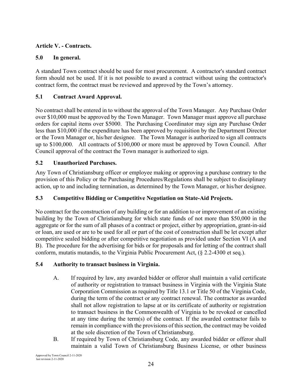#### **Article V. - Contracts.**

#### **5.0 In general.**

A standard Town contract should be used for most procurement. A contractor's standard contract form should not be used. If it is not possible to award a contract without using the contractor's contract form, the contract must be reviewed and approved by the Town's attorney.

## **5.1 Contract Award Approval.**

No contract shall be entered in to without the approval of the Town Manager. Any Purchase Order over \$10,000 must be approved by the Town Manager. Town Manager must approve all purchase orders for capital items over \$5000. The Purchasing Coordinator may sign any Purchase Order less than \$10,000 if the expenditure has been approved by requisition by the Department Director or the Town Manager or, his/her designee. The Town Manager is authorized to sign all contracts up to \$100,000. All contracts of \$100,000 or more must be approved by Town Council. After Council approval of the contract the Town manager is authorized to sign.

#### **5.2 Unauthorized Purchases.**

Any Town of Christiansburg officer or employee making or approving a purchase contrary to the provision of this Policy or the Purchasing Procedures/Regulations shall be subject to disciplinary action, up to and including termination, as determined by the Town Manager, or his/her designee.

## **5.3 Competitive Bidding or Competitive Negotiation on State-Aid Projects.**

No contract for the construction of any building or for an addition to or improvement of an existing building by the Town of Christiansburg for which state funds of not more than \$50,000 in the aggregate or for the sum of all phases of a contract or project, either by appropriation, grant-in-aid or loan, are used or are to be used for all or part of the cost of construction shall be let except after competitive sealed bidding or after competitive negotiation as provided under Section VI (A and B). The procedure for the advertising for bids or for proposals and for letting of the contract shall conform, mutatis mutandis, to the Virginia Public Procurement Act, (§ 2.2-4300 et seq.).

#### **5.4 Authority to transact business in Virginia.**

- A. If required by law, any awarded bidder or offeror shall maintain a valid certificate of authority or registration to transact business in Virginia with the Virginia State Corporation Commission as required by Title 13.1 or Title 50 of the Virginia Code, during the term of the contract or any contract renewal. The contractor as awarded shall not allow registration to lapse at or its certificate of authority or registration to transact business in the Commonwealth of Virginia to be revoked or cancelled at any time during the term(s) of the contract. If the awarded contractor fails to remain in compliance with the provisions of this section, the contract may be voided at the sole discretion of the Town of Christiansburg.
- B. If required by Town of Christiansburg Code, any awarded bidder or offeror shall maintain a valid Town of Christiansburg Business License, or other business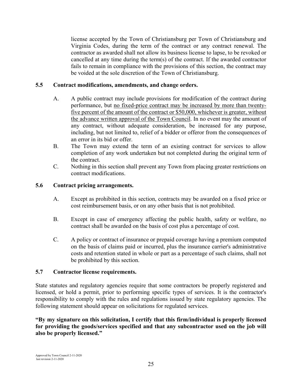license accepted by the Town of Christiansburg per Town of Christiansburg and Virginia Codes, during the term of the contract or any contract renewal. The contractor as awarded shall not allow its business license to lapse, to be revoked or cancelled at any time during the term(s) of the contract. If the awarded contractor fails to remain in compliance with the provisions of this section, the contract may be voided at the sole discretion of the Town of Christiansburg.

#### **5.5 Contract modifications, amendments, and change orders.**

- A. A public contract may include provisions for modification of the contract during performance, but no fixed-price contract may be increased by more than twentyfive percent of the amount of the contract or \$50,000, whichever is greater, without the advance written approval of the Town Council. In no event may the amount of any contract, without adequate consideration, be increased for any purpose, including, but not limited to, relief of a bidder or offeror from the consequences of an error in its bid or offer.
- B. The Town may extend the term of an existing contract for services to allow completion of any work undertaken but not completed during the original term of the contract.
- C. Nothing in this section shall prevent any Town from placing greater restrictions on contract modifications.

#### **5.6 Contract pricing arrangements.**

- A. Except as prohibited in this section, contracts may be awarded on a fixed price or cost reimbursement basis, or on any other basis that is not prohibited.
- B. Except in case of emergency affecting the public health, safety or welfare, no contract shall be awarded on the basis of cost plus a percentage of cost.
- C. A policy or contract of insurance or prepaid coverage having a premium computed on the basis of claims paid or incurred, plus the insurance carrier's administrative costs and retention stated in whole or part as a percentage of such claims, shall not be prohibited by this section.

#### **5.7 Contractor license requirements.**

State statutes and regulatory agencies require that some contractors be properly registered and licensed, or hold a permit, prior to performing specific types of services. It is the contractor's responsibility to comply with the rules and regulations issued by state regulatory agencies. The following statement should appear on solicitations for regulated services.

**"By my signature on this solicitation, I certify that this firm/individual is properly licensed for providing the goods/services specified and that any subcontractor used on the job will also be properly licensed."**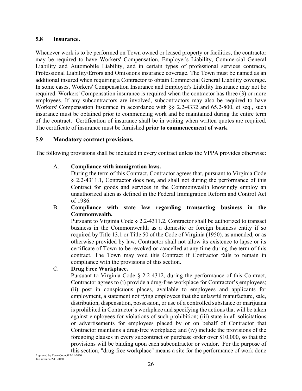#### **5.8 Insurance.**

Whenever work is to be performed on Town owned or leased property or facilities, the contractor may be required to have Workers' Compensation, Employer's Liability, Commercial General Liability and Automobile Liability, and in certain types of professional services contracts, Professional Liability/Errors and Omissions insurance coverage. The Town must be named as an additional insured when requiring a Contractor to obtain Commercial General Liability coverage. In some cases, Workers' Compensation Insurance and Employer's Liability Insurance may not be required. Workers' Compensation insurance is required when the contractor has three (3) or more employees. If any subcontractors are involved, subcontractors may also be required to have Workers' Compensation Insurance in accordance with §§ 2.2-4332 and 65.2-800, et seq., such insurance must be obtained prior to commencing work and be maintained during the entire term of the contract. Certification of insurance shall be in writing when written quotes are required. The certificate of insurance must be furnished **prior to commencement of work**.

#### **5.9 Mandatory contract provisions.**

The following provisions shall be included in every contract unless the VPPA provides otherwise:

#### A. **Compliance with immigration laws.**

 During the term of this Contract, Contractor agrees that, pursuant to Virginia Code § 2.2-4311.1, Contractor does not, and shall not during the performance of this Contract for goods and services in the Commonwealth knowingly employ an unauthorized alien as defined in the Federal Immigration Reform and Control Act of 1986.

#### B. **Compliance with state law regarding transacting business in the Commonwealth.**

 Pursuant to Virginia Code § 2.2-4311.2, Contractor shall be authorized to transact business in the Commonwealth as a domestic or foreign business entity if so required by Title 13.1 or Title 50 of the Code of Virginia (1950), as amended, or as otherwise provided by law. Contractor shall not allow its existence to lapse or its certificate of Town to be revoked or cancelled at any time during the term of this contract. The Town may void this Contract if Contractor fails to remain in compliance with the provisions of this section.

#### C. **Drug Free Workplace.**

 Pursuant to Virginia Code § 2.2-4312, during the performance of this Contract, Contractor agrees to (i) provide a drug-free workplace for Contractor's employees; (ii) post in conspicuous places, available to employees and applicants for employment, a statement notifying employees that the unlawful manufacture, sale, distribution, dispensation, possession, or use of a controlled substance or marijuana is prohibited in Contractor's workplace and specifying the actions that will be taken against employees for violations of such prohibition; (iii) state in all solicitations or advertisements for employees placed by or on behalf of Contractor that Contractor maintains a drug-free workplace; and (iv) include the provisions of the foregoing clauses in every subcontract or purchase order over \$10,000, so that the provisions will be binding upon each subcontractor or vendor. For the purpose of this section, "drug-free workplace" means a site for the performance of work done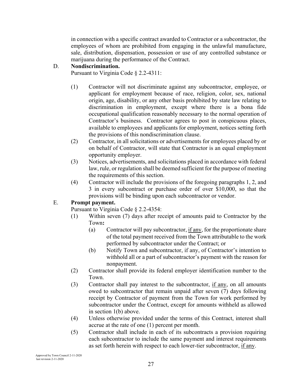in connection with a specific contract awarded to Contractor or a subcontractor, the employees of whom are prohibited from engaging in the unlawful manufacture, sale, distribution, dispensation, possession or use of any controlled substance or marijuana during the performance of the Contract.

#### D. **Nondiscrimination.**

Pursuant to Virginia Code § 2.2-4311:

- (1) Contractor will not discriminate against any subcontractor, employee, or applicant for employment because of race, religion, color, sex, national origin, age, disability, or any other basis prohibited by state law relating to discrimination in employment, except where there is a bona fide occupational qualification reasonably necessary to the normal operation of Contractor's business. Contractor agrees to post in conspicuous places, available to employees and applicants for employment, notices setting forth the provisions of this nondiscrimination clause.
- (2) Contractor, in all solicitations or advertisements for employees placed by or on behalf of Contractor, will state that Contractor is an equal employment opportunity employer.
- (3) Notices, advertisements, and solicitations placed in accordance with federal law, rule, or regulation shall be deemed sufficient for the purpose of meeting the requirements of this section.
- (4) Contractor will include the provisions of the foregoing paragraphs 1, 2, and 3 in every subcontract or purchase order of over \$10,000, so that the provisions will be binding upon each subcontractor or vendor.

#### E. **Prompt payment.**

Pursuant to Virginia Code § 2.2-4354:

- (1) Within seven (7) days after receipt of amounts paid to Contractor by the Town**:**
	- (a) Contractor will pay subcontractor, if any, for the proportionate share of the total payment received from the Town attributable to the work performed by subcontractor under the Contract; or
	- (b) Notify Town and subcontractor, if any, of Contractor's intention to withhold all or a part of subcontractor's payment with the reason for nonpayment.
- (2) Contractor shall provide its federal employer identification number to the Town.
- (3) Contractor shall pay interest to the subcontractor, if any, on all amounts owed to subcontractor that remain unpaid after seven (7) days following receipt by Contractor of payment from the Town for work performed by subcontractor under the Contract, except for amounts withheld as allowed in section 1(b) above.
- (4) Unless otherwise provided under the terms of this Contract, interest shall accrue at the rate of one (1) percent per month.
- (5) Contractor shall include in each of its subcontracts a provision requiring each subcontractor to include the same payment and interest requirements as set forth herein with respect to each lower-tier subcontractor, if any.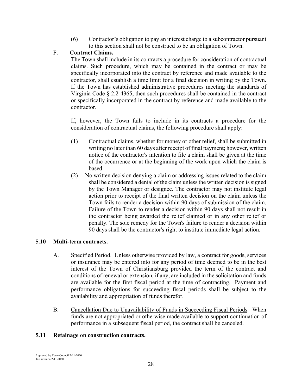(6) Contractor's obligation to pay an interest charge to a subcontractor pursuant to this section shall not be construed to be an obligation of Town.

## F. **Contract Claims.**

 The Town shall include in its contracts a procedure for consideration of contractual claims. Such procedure, which may be contained in the contract or may be specifically incorporated into the contract by reference and made available to the contractor, shall establish a time limit for a final decision in writing by the Town. If the Town has established administrative procedures meeting the standards of Virginia Code § 2.2-4365, then such procedures shall be contained in the contract or specifically incorporated in the contract by reference and made available to the contractor.

 If, however, the Town fails to include in its contracts a procedure for the consideration of contractual claims, the following procedure shall apply:

- (1) Contractual claims, whether for money or other relief, shall be submitted in writing no later than 60 days after receipt of final payment; however, written notice of the contractor's intention to file a claim shall be given at the time of the occurrence or at the beginning of the work upon which the claim is based.
- (2) No written decision denying a claim or addressing issues related to the claim shall be considered a denial of the claim unless the written decision is signed by the Town Manager or designee. The contractor may not institute legal action prior to receipt of the final written decision on the claim unless the Town fails to render a decision within 90 days of submission of the claim. Failure of the Town to render a decision within 90 days shall not result in the contractor being awarded the relief claimed or in any other relief or penalty. The sole remedy for the Town's failure to render a decision within 90 days shall be the contractor's right to institute immediate legal action.

## **5.10 Multi-term contracts.**

- A. Specified Period. Unless otherwise provided by law, a contract for goods, services or insurance may be entered into for any period of time deemed to be in the best interest of the Town of Christiansburg provided the term of the contract and conditions of renewal or extension, if any, are included in the solicitation and funds are available for the first fiscal period at the time of contracting. Payment and performance obligations for succeeding fiscal periods shall be subject to the availability and appropriation of funds therefor.
- B. Cancellation Due to Unavailability of Funds in Succeeding Fiscal Periods. When funds are not appropriated or otherwise made available to support continuation of performance in a subsequent fiscal period, the contract shall be canceled.

## **5.11 Retainage on construction contracts.**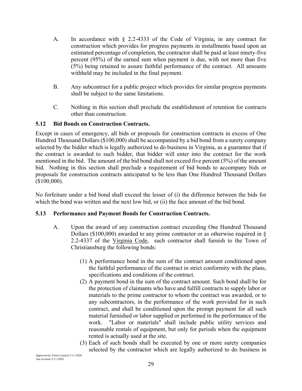- A. In accordance with § 2.2-4333 of the Code of Virginia, in any contract for construction which provides for progress payments in installments based upon an estimated percentage of completion, the contractor shall be paid at least ninety-five percent (95%) of the earned sum when payment is due, with not more than five (5%) being retained to assure faithful performance of the contract. All amounts withheld may be included in the final payment.
- B. Any subcontract for a public project which provides for similar progress payments shall be subject to the same limitations.
- C. Nothing in this section shall preclude the establishment of retention for contracts other than construction.

#### **5.12 Bid Bonds on Construction Contracts.**

Except in cases of emergency, all bids or proposals for construction contracts in excess of One Hundred Thousand Dollars (\$100,000) shall be accompanied by a bid bond from a surety company selected by the bidder which is legally authorized to do business in Virginia, as a guarantee that if the contract is awarded to such bidder, that bidder will enter into the contract for the work mentioned in the bid. The amount of the bid bond shall not exceed five percent (5%) of the amount bid. Nothing in this section shall preclude a requirement of bid bonds to accompany bids or proposals for construction contracts anticipated to be less than One Hundred Thousand Dollars (\$100,000).

No forfeiture under a bid bond shall exceed the lesser of (i) the difference between the bids for which the bond was written and the next low bid, or (ii) the face amount of the bid bond.

#### **5.13 Performance and Payment Bonds for Construction Contracts.**

- A. Upon the award of any construction contract exceeding One Hundred Thousand Dollars (\$100,000) awarded to any prime contractor or as otherwise required in § 2.2-4337 of the Virginia Code, such contractor shall furnish to the Town of Christiansburg the following bonds:
	- (1) A performance bond in the sum of the contract amount conditioned upon the faithful performance of the contract in strict conformity with the plans, specifications and conditions of the contract.
	- (2) A payment bond in the sum of the contract amount. Such bond shall be for the protection of claimants who have and fulfill contracts to supply labor or materials to the prime contractor to whom the contract was awarded, or to any subcontractors, in the performance of the work provided for in such contract, and shall be conditioned upon the prompt payment for all such material furnished or labor supplied or performed in the performance of the work. "Labor or materials" shall include public utility services and reasonable rentals of equipment, but only for periods when the equipment rented is actually used at the site.
	- (3) Each of such bonds shall be executed by one or more surety companies selected by the contractor which are legally authorized to do business in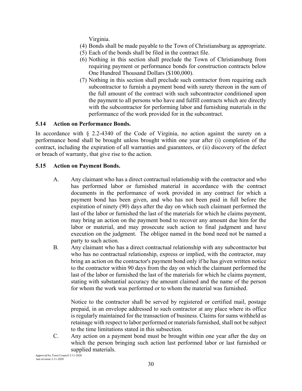Virginia.

- (4) Bonds shall be made payable to the Town of Christiansburg as appropriate.
- (5) Each of the bonds shall be filed in the contract file.
- (6) Nothing in this section shall preclude the Town of Christiansburg from requiring payment or performance bonds for construction contracts below One Hundred Thousand Dollars (\$100,000).
- (7) Nothing in this section shall preclude such contractor from requiring each subcontractor to furnish a payment bond with surety thereon in the sum of the full amount of the contract with such subcontractor conditioned upon the payment to all persons who have and fulfill contracts which are directly with the subcontractor for performing labor and furnishing materials in the performance of the work provided for in the subcontract.

#### **5.14 Action on Performance Bonds.**

In accordance with § 2.2-4340 of the Code of Virginia, no action against the surety on a performance bond shall be brought unless brought within one year after (i) completion of the contract, including the expiration of all warranties and guarantees, or (ii) discovery of the defect or breach of warranty, that give rise to the action.

#### **5.15 Action on Payment Bonds.**

- A. Any claimant who has a direct contractual relationship with the contractor and who has performed labor or furnished material in accordance with the contract documents in the performance of work provided in any contract for which a payment bond has been given, and who has not been paid in full before the expiration of ninety (90) days after the day on which such claimant performed the last of the labor or furnished the last of the materials for which he claims payment, may bring an action on the payment bond to recover any amount due him for the labor or material, and may prosecute such action to final judgment and have execution on the judgment. The obligee named in the bond need not be named a party to such action.
- B. Any claimant who has a direct contractual relationship with any subcontractor but who has no contractual relationship, express or implied, with the contractor, may bring an action on the contractor's payment bond only if he has given written notice to the contractor within 90 days from the day on which the claimant performed the last of the labor or furnished the last of the materials for which he claims payment, stating with substantial accuracy the amount claimed and the name of the person for whom the work was performed or to whom the material was furnished.

Notice to the contractor shall be served by registered or certified mail, postage prepaid, in an envelope addressed to such contractor at any place where its office is regularly maintained for the transaction of business. Claims for sums withheld as retainage with respect to labor performed or materials furnished, shall not be subject to the time limitations stated in this subsection.

C. Any action on a payment bond must be brought within one year after the day on which the person bringing such action last performed labor or last furnished or supplied materials.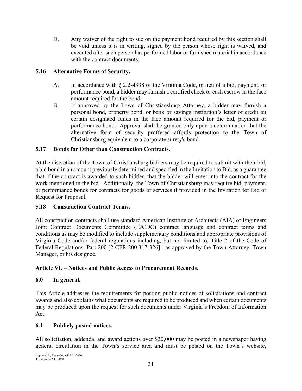D. Any waiver of the right to sue on the payment bond required by this section shall be void unless it is in writing, signed by the person whose right is waived, and executed after such person has performed labor or furnished material in accordance with the contract documents.

#### **5.16 Alternative Forms of Security.**

- A. In accordance with § 2.2-4338 of the Virginia Code, in lieu of a bid, payment, or performance bond, a bidder may furnish a certified check or cash escrow in the face amount required for the bond.
- B. If approved by the Town of Christiansburg Attorney, a bidder may furnish a personal bond, property bond, or bank or savings institution's letter of credit on certain designated funds in the face amount required for the bid, payment or performance bond. Approval shall be granted only upon a determination that the alternative form of security proffered affords protection to the Town of Christiansburg equivalent to a corporate surety's bond.

#### **5.17 Bonds for Other than Construction Contracts.**

At the discretion of the Town of Christiansburg bidders may be required to submit with their bid, a bid bond in an amount previously determined and specified in the Invitation to Bid, as a guarantee that if the contract is awarded to such bidder, that the bidder will enter into the contract for the work mentioned in the bid. Additionally, the Town of Christiansburg may require bid, payment, or performance bonds for contracts for goods or services if provided in the Invitation for Bid or Request for Proposal.

#### **5.18 Construction Contract Terms.**

All construction contracts shall use standard American Institute of Architects (AIA) or Engineers Joint Contract Documents Committee (EJCDC) contract language and contract terms and conditions as may be modified to include supplementary conditions and appropriate provisions of Virginia Code and/or federal regulations including, but not limited to, Title 2 of the Code of Federal Regulations, Part 200 [2 CFR 200.317-326] as approved by the Town Attorney, Town Manager, or his designee.

#### **Article VI. – Notices and Public Access to Procurement Records.**

#### **6.0 In general.**

This Article addresses the requirements for posting public notices of solicitations and contract awards and also explains what documents are required to be produced and when certain documents may be produced upon the request for such documents under Virginia's Freedom of Information Act.

#### **6.1 Publicly posted notices.**

All solicitation, addenda, and award actions over \$30,000 may be posted in a newspaper having general circulation in the Town's service area and must be posted on the Town's website,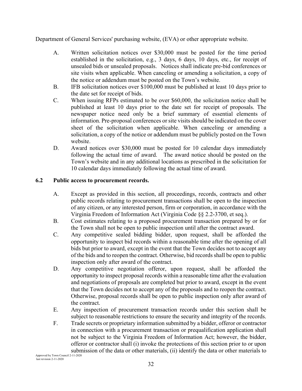Department of General Services' purchasing website, (EVA) or other appropriate website.

- A. Written solicitation notices over \$30,000 must be posted for the time period established in the solicitation, e.g., 3 days, 6 days, 10 days, etc., for receipt of unsealed bids or unsealed proposals. Notices shall indicate pre-bid conferences or site visits when applicable. When canceling or amending a solicitation, a copy of the notice or addendum must be posted on the Town's website.
- B. IFB solicitation notices over \$100,000 must be published at least 10 days prior to the date set for receipt of bids.
- C. When issuing RFPs estimated to be over \$60,000, the solicitation notice shall be published at least 10 days prior to the date set for receipt of proposals. The newspaper notice need only be a brief summary of essential elements of information. Pre-proposal conferences or site visits should be indicated on the cover sheet of the solicitation when applicable. When canceling or amending a solicitation, a copy of the notice or addendum must be publicly posted on the Town website.
- D. Award notices over \$30,000 must be posted for 10 calendar days immediately following the actual time of award. The award notice should be posted on the Town's website and in any additional locations as prescribed in the solicitation for 10 calendar days immediately following the actual time of award.

#### **6.2 Public access to procurement records.**

- A. Except as provided in this section, all proceedings, records, contracts and other public records relating to procurement transactions shall be open to the inspection of any citizen, or any interested person, firm or corporation, in accordance with the Virginia Freedom of Information Act (Virginia Code §§ 2.2-3700, et seq.).
- B. Cost estimates relating to a proposed procurement transaction prepared by or for the Town shall not be open to public inspection until after the contract award.
- C. Any competitive sealed bidding bidder, upon request, shall be afforded the opportunity to inspect bid records within a reasonable time after the opening of all bids but prior to award, except in the event that the Town decides not to accept any of the bids and to reopen the contract. Otherwise, bid records shall be open to public inspection only after award of the contract.
- D. Any competitive negotiation offeror, upon request, shall be afforded the opportunity to inspect proposal records within a reasonable time after the evaluation and negotiations of proposals are completed but prior to award, except in the event that the Town decides not to accept any of the proposals and to reopen the contract. Otherwise, proposal records shall be open to public inspection only after award of the contract.
- E. Any inspection of procurement transaction records under this section shall be subject to reasonable restrictions to ensure the security and integrity of the records.
- F. Trade secrets or proprietary information submitted by a bidder, offeror or contractor in connection with a procurement transaction or prequalification application shall not be subject to the Virginia Freedom of Information Act; however, the bidder, offeror or contractor shall (i) invoke the protections of this section prior to or upon submission of the data or other materials, (ii) identify the data or other materials to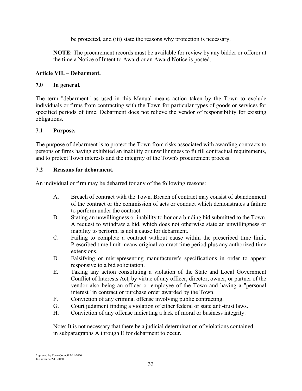be protected, and (iii) state the reasons why protection is necessary.

**NOTE:** The procurement records must be available for review by any bidder or offeror at the time a Notice of Intent to Award or an Award Notice is posted.

#### **Article VII. – Debarment.**

#### **7.0 In general.**

The term "debarment" as used in this Manual means action taken by the Town to exclude individuals or firms from contracting with the Town for particular types of goods or services for specified periods of time. Debarment does not relieve the vendor of responsibility for existing obligations.

#### **7.1 Purpose.**

The purpose of debarment is to protect the Town from risks associated with awarding contracts to persons or firms having exhibited an inability or unwillingness to fulfill contractual requirements, and to protect Town interests and the integrity of the Town's procurement process.

#### **7.2 Reasons for debarment.**

An individual or firm may be debarred for any of the following reasons:

- A. Breach of contract with the Town. Breach of contract may consist of abandonment of the contract or the commission of acts or conduct which demonstrates a failure to perform under the contract.
- B. Stating an unwillingness or inability to honor a binding bid submitted to the Town. A request to withdraw a bid, which does not otherwise state an unwillingness or inability to perform, is not a cause for debarment.
- C. Failing to complete a contract without cause within the prescribed time limit. Prescribed time limit means original contract time period plus any authorized time extensions.
- D. Falsifying or misrepresenting manufacturer's specifications in order to appear responsive to a bid solicitation.
- E. Taking any action constituting a violation of the State and Local Government Conflict of Interests Act, by virtue of any officer, director, owner, or partner of the vendor also being an officer or employee of the Town and having a "personal interest" in contract or purchase order awarded by the Town.
- F. Conviction of any criminal offense involving public contracting.
- G. Court judgment finding a violation of either federal or state anti-trust laws.
- H. Conviction of any offense indicating a lack of moral or business integrity.

Note: It is not necessary that there be a judicial determination of violations contained in subparagraphs A through E for debarment to occur.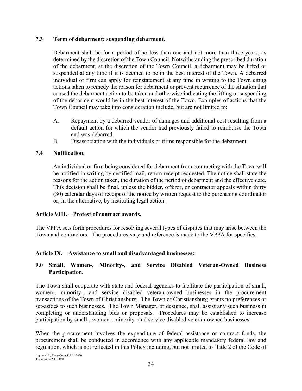#### **7.3 Term of debarment; suspending debarment.**

Debarment shall be for a period of no less than one and not more than three years, as determined by the discretion of the Town Council. Notwithstanding the prescribed duration of the debarment, at the discretion of the Town Council, a debarment may be lifted or suspended at any time if it is deemed to be in the best interest of the Town. A debarred individual or firm can apply for reinstatement at any time in writing to the Town citing actions taken to remedy the reason for debarment or prevent recurrence of the situation that caused the debarment action to be taken and otherwise indicating the lifting or suspending of the debarment would be in the best interest of the Town. Examples of actions that the Town Council may take into consideration include, but are not limited to:

- A. Repayment by a debarred vendor of damages and additional cost resulting from a default action for which the vendor had previously failed to reimburse the Town and was debarred.
- B. Disassociation with the individuals or firms responsible for the debarment.

#### **7.4 Notification.**

An individual or firm being considered for debarment from contracting with the Town will be notified in writing by certified mail, return receipt requested. The notice shall state the reasons for the action taken, the duration of the period of debarment and the effective date. This decision shall be final, unless the bidder, offeror, or contractor appeals within thirty (30) calendar days of receipt of the notice by written request to the purchasing coordinator or, in the alternative, by instituting legal action.

#### **Article VIII. – Protest of contract awards.**

The VPPA sets forth procedures for resolving several types of disputes that may arise between the Town and contractors. The procedures vary and reference is made to the VPPA for specifics.

#### **Article IX. – Assistance to small and disadvantaged businesses:**

#### **9.0 Small, Women-, Minority-, and Service Disabled Veteran-Owned Business Participation.**

The Town shall cooperate with state and federal agencies to facilitate the participation of small, women-, minority-, and service disabled veteran-owned businesses in the procurement transactions of the Town of Christiansburg. The Town of Christiansburg grants no preferences or set-asides to such businesses. The Town Manager, or designee, shall assist any such business in completing or understanding bids or proposals. Procedures may be established to increase participation by small-, women-, minority- and service disabled veteran-owned businesses.

When the procurement involves the expenditure of federal assistance or contract funds, the procurement shall be conducted in accordance with any applicable mandatory federal law and regulation, which is not reflected in this Policy including, but not limited to Title 2 of the Code of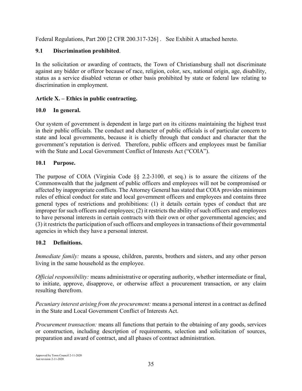Federal Regulations, Part 200 [2 CFR 200.317-326] . See Exhibit A attached hereto.

## **9.1 Discrimination prohibited**.

In the solicitation or awarding of contracts, the Town of Christiansburg shall not discriminate against any bidder or offeror because of race, religion, color, sex, national origin, age, disability, status as a service disabled veteran or other basis prohibited by state or federal law relating to discrimination in employment.

## **Article X. – Ethics in public contracting.**

## **10.0 In general.**

Our system of government is dependent in large part on its citizens maintaining the highest trust in their public officials. The conduct and character of public officials is of particular concern to state and local governments, because it is chiefly through that conduct and character that the government's reputation is derived. Therefore, public officers and employees must be familiar with the State and Local Government Conflict of Interests Act ("COIA").

## **10.1 Purpose.**

The purpose of COIA (Virginia Code §§ 2.2-3100, et seq.) is to assure the citizens of the Commonwealth that the judgment of public officers and employees will not be compromised or affected by inappropriate conflicts. The Attorney General has stated that COIA provides minimum rules of ethical conduct for state and local government officers and employees and contains three general types of restrictions and prohibitions: (1) it details certain types of conduct that are improper for such officers and employees; (2) it restricts the ability of such officers and employees to have personal interests in certain contracts with their own or other governmental agencies; and (3) it restricts the participation of such officers and employees in transactions of their governmental agencies in which they have a personal interest.

## **10.2 Definitions.**

*Immediate family:* means a spouse, children, parents, brothers and sisters, and any other person living in the same household as the employee.

*Official responsibility:* means administrative or operating authority, whether intermediate or final, to initiate, approve, disapprove, or otherwise affect a procurement transaction, or any claim resulting therefrom.

*Pecuniary interest arising from the procurement:* means a personal interest in a contract as defined in the State and Local Government Conflict of Interests Act.

*Procurement transaction:* means all functions that pertain to the obtaining of any goods, services or construction, including description of requirements, selection and solicitation of sources, preparation and award of contract, and all phases of contract administration.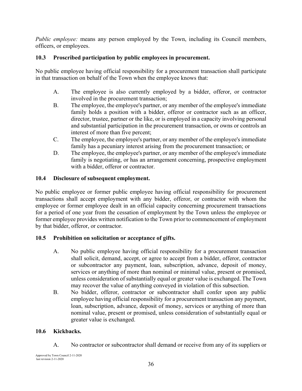*Public employee:* means any person employed by the Town, including its Council members, officers, or employees.

## **10.3 Proscribed participation by public employees in procurement.**

No public employee having official responsibility for a procurement transaction shall participate in that transaction on behalf of the Town when the employee knows that:

- A. The employee is also currently employed by a bidder, offeror, or contractor involved in the procurement transaction;
- B. The employee, the employee's partner, or any member of the employee's immediate family holds a position with a bidder, offeror or contractor such as an officer, director, trustee, partner or the like, or is employed in a capacity involving personal and substantial participation in the procurement transaction, or owns or controls an interest of more than five percent;
- C. The employee, the employee's partner, or any member of the employee's immediate family has a pecuniary interest arising from the procurement transaction; or
- D. The employee, the employee's partner, or any member of the employee's immediate family is negotiating, or has an arrangement concerning, prospective employment with a bidder, offeror or contractor.

#### **10.4 Disclosure of subsequent employment.**

No public employee or former public employee having official responsibility for procurement transactions shall accept employment with any bidder, offeror, or contractor with whom the employee or former employee dealt in an official capacity concerning procurement transactions for a period of one year from the cessation of employment by the Town unless the employee or former employee provides written notification to the Town prior to commencement of employment by that bidder, offeror, or contractor.

## **10.5 Prohibition on solicitation or acceptance of gifts.**

- A. No public employee having official responsibility for a procurement transaction shall solicit, demand, accept, or agree to accept from a bidder, offeror, contractor or subcontractor any payment, loan, subscription, advance, deposit of money, services or anything of more than nominal or minimal value, present or promised, unless consideration of substantially equal or greater value is exchanged. The Town may recover the value of anything conveyed in violation of this subsection.
- B. No bidder, offeror, contractor or subcontractor shall confer upon any public employee having official responsibility for a procurement transaction any payment, loan, subscription, advance, deposit of money, services or anything of more than nominal value, present or promised, unless consideration of substantially equal or greater value is exchanged.

#### **10.6 Kickbacks.**

A. No contractor or subcontractor shall demand or receive from any of its suppliers or

Approved by Town Council 2-11-2020 last revision 2-11-2020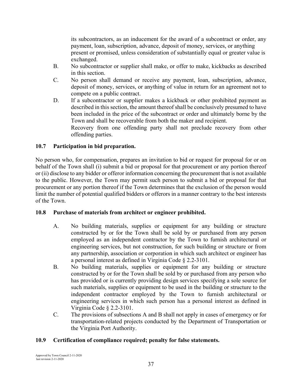its subcontractors, as an inducement for the award of a subcontract or order, any payment, loan, subscription, advance, deposit of money, services, or anything present or promised, unless consideration of substantially equal or greater value is exchanged.

- B. No subcontractor or supplier shall make, or offer to make, kickbacks as described in this section.
- C. No person shall demand or receive any payment, loan, subscription, advance, deposit of money, services, or anything of value in return for an agreement not to compete on a public contract.
- D. If a subcontractor or supplier makes a kickback or other prohibited payment as described in this section, the amount thereof shall be conclusively presumed to have been included in the price of the subcontract or order and ultimately borne by the Town and shall be recoverable from both the maker and recipient. Recovery from one offending party shall not preclude recovery from other offending parties.

**10.7 Participation in bid preparation.** 

No person who, for compensation, prepares an invitation to bid or request for proposal for or on behalf of the Town shall (i) submit a bid or proposal for that procurement or any portion thereof or (ii) disclose to any bidder or offeror information concerning the procurement that is not available to the public. However, the Town may permit such person to submit a bid or proposal for that procurement or any portion thereof if the Town determines that the exclusion of the person would limit the number of potential qualified bidders or offerors in a manner contrary to the best interests of the Town.

#### **10.8 Purchase of materials from architect or engineer prohibited.**

- A. No building materials, supplies or equipment for any building or structure constructed by or for the Town shall be sold by or purchased from any person employed as an independent contractor by the Town to furnish architectural or engineering services, but not construction, for such building or structure or from any partnership, association or corporation in which such architect or engineer has a personal interest as defined in Virginia Code § 2.2-3101.
- B. No building materials, supplies or equipment for any building or structure constructed by or for the Town shall be sold by or purchased from any person who has provided or is currently providing design services specifying a sole source for such materials, supplies or equipment to be used in the building or structure to the independent contractor employed by the Town to furnish architectural or engineering services in which such person has a personal interest as defined in Virginia Code § 2.2-3101.
- C. The provisions of subsections A and B shall not apply in cases of emergency or for transportation-related projects conducted by the Department of Transportation or the Virginia Port Authority.

#### **10.9 Certification of compliance required; penalty for false statements.**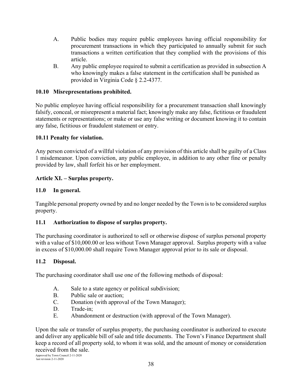- A. Public bodies may require public employees having official responsibility for procurement transactions in which they participated to annually submit for such transactions a written certification that they complied with the provisions of this article.
- B. Any public employee required to submit a certification as provided in subsection A who knowingly makes a false statement in the certification shall be punished as provided in Virginia Code § 2.2-4377.

#### **10.10 Misrepresentations prohibited.**

No public employee having official responsibility for a procurement transaction shall knowingly falsify, conceal, or misrepresent a material fact; knowingly make any false, fictitious or fraudulent statements or representations; or make or use any false writing or document knowing it to contain any false, fictitious or fraudulent statement or entry.

#### **10.11 Penalty for violation.**

Any person convicted of a willful violation of any provision of this article shall be guilty of a Class 1 misdemeanor. Upon conviction, any public employee, in addition to any other fine or penalty provided by law, shall forfeit his or her employment.

#### **Article XI. – Surplus property.**

#### **11.0 In general.**

Tangible personal property owned by and no longer needed by the Town is to be considered surplus property.

#### **11.1 Authorization to dispose of surplus property.**

The purchasing coordinator is authorized to sell or otherwise dispose of surplus personal property with a value of \$10,000.00 or less without Town Manager approval. Surplus property with a value in excess of \$10,000.00 shall require Town Manager approval prior to its sale or disposal.

#### **11.2 Disposal.**

The purchasing coordinator shall use one of the following methods of disposal:

- A. Sale to a state agency or political subdivision;
- B. Public sale or auction;
- C. Donation (with approval of the Town Manager);
- D. Trade-in:
- E. Abandonment or destruction (with approval of the Town Manager).

Upon the sale or transfer of surplus property, the purchasing coordinator is authorized to execute and deliver any applicable bill of sale and title documents. The Town's Finance Department shall keep a record of all property sold, to whom it was sold, and the amount of money or consideration received from the sale.

Approved by Town Council 2-11-2020 last revision 2-11-2020